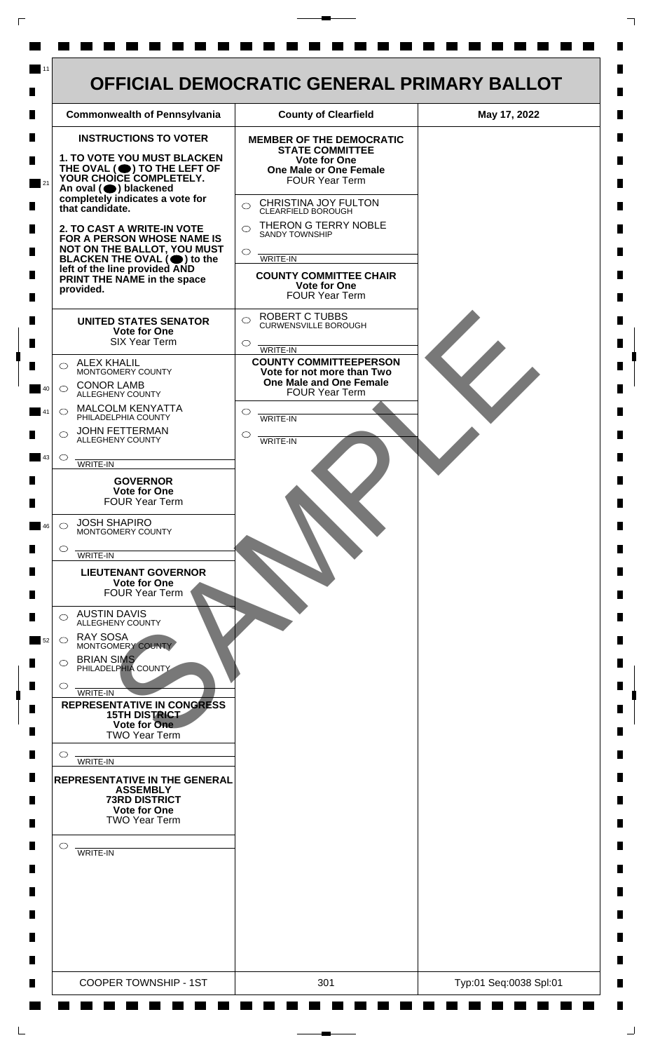

 $\mathsf{L}$ 

 $\Box$